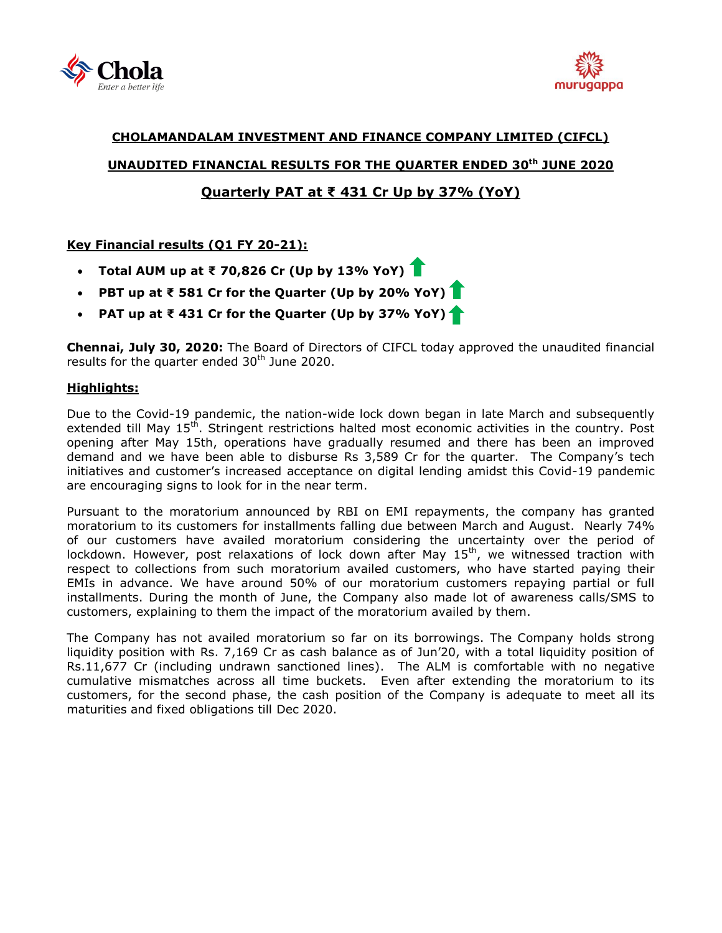



# **CHOLAMANDALAM INVESTMENT AND FINANCE COMPANY LIMITED (CIFCL) UNAUDITED FINANCIAL RESULTS FOR THE QUARTER ENDED 30 th JUNE 2020 Quarterly PAT at ₹ 431 Cr Up by 37% (YoY)**

## **Key Financial results (Q1 FY 20-21):**

- **Total AUM up at ₹ 70,826 Cr (Up by 13% YoY)**
- **PBT up at ₹ 581 Cr for the Quarter (Up by 20% YoY)**
- **PAT up at ₹ 431 Cr for the Quarter (Up by 37% YoY)**

**Chennai, July 30, 2020:** The Board of Directors of [CIFCL](http://www.cholamandalam.com/) today approved the unaudited financial results for the quarter ended 30<sup>th</sup> June 2020.

## **Highlights:**

Due to the Covid-19 pandemic, the nation-wide lock down began in late March and subsequently extended till May 15<sup>th</sup>. Stringent restrictions halted most economic activities in the country. Post opening after May 15th, operations have gradually resumed and there has been an improved demand and we have been able to disburse Rs 3,589 Cr for the quarter. The Company's tech initiatives and customer's increased acceptance on digital lending amidst this Covid-19 pandemic are encouraging signs to look for in the near term.

Pursuant to the moratorium announced by RBI on EMI repayments, the company has granted moratorium to its customers for installments falling due between March and August. Nearly 74% of our customers have availed moratorium considering the uncertainty over the period of lockdown. However, post relaxations of lock down after May 15<sup>th</sup>, we witnessed traction with respect to collections from such moratorium availed customers, who have started paying their EMIs in advance. We have around 50% of our moratorium customers repaying partial or full installments. During the month of June, the Company also made lot of awareness calls/SMS to customers, explaining to them the impact of the moratorium availed by them.

The Company has not availed moratorium so far on its borrowings. The Company holds strong liquidity position with Rs. 7,169 Cr as cash balance as of Jun'20, with a total liquidity position of Rs.11,677 Cr (including undrawn sanctioned lines). The ALM is comfortable with no negative cumulative mismatches across all time buckets. Even after extending the moratorium to its customers, for the second phase, the cash position of the Company is adequate to meet all its maturities and fixed obligations till Dec 2020.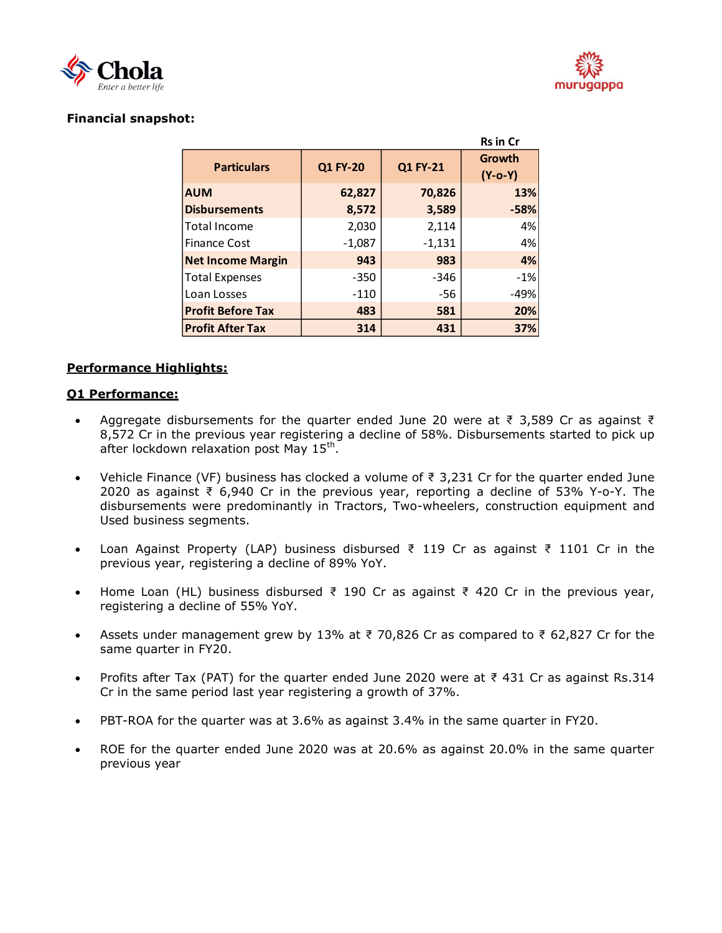



**Rs in Cr**

# **Financial snapshot:**

|                          |                 |          | หร in ur            |  |
|--------------------------|-----------------|----------|---------------------|--|
| <b>Particulars</b>       | <b>Q1 FY-20</b> | Q1 FY-21 | Growth<br>$(Y-o-Y)$ |  |
| <b>AUM</b>               | 62,827          | 70,826   | 13%                 |  |
| <b>Disbursements</b>     | 8,572           | 3,589    | $-58%$              |  |
| Total Income             | 2,030           | 2,114    | 4%                  |  |
| <b>Finance Cost</b>      | $-1,087$        | $-1,131$ | 4%                  |  |
| <b>Net Income Margin</b> | 943             | 983      | 4%                  |  |
| <b>Total Expenses</b>    | $-350$          | $-346$   | $-1%$               |  |
| Loan Losses              | $-110$          | $-56$    | $-49%$              |  |
| <b>Profit Before Tax</b> | 483             | 581      | 20%                 |  |
| <b>Profit After Tax</b>  | 314             | 431      | 37%                 |  |

## **Performance Highlights:**

## **Q1 Performance:**

- Aggregate disbursements for the quarter ended June 20 were at  $\bar{\tau}$  3,589 Cr as against  $\bar{\tau}$ 8,572 Cr in the previous year registering a decline of 58%. Disbursements started to pick up after lockdown relaxation post May 15<sup>th</sup>.
- Vehicle Finance (VF) business has clocked a volume of ₹ 3,231 Cr for the quarter ended June 2020 as against ₹ 6,940 Cr in the previous year, reporting a decline of 53% Y-o-Y. The disbursements were predominantly in Tractors, Two-wheelers, construction equipment and Used business segments.
- Loan Against Property (LAP) business disbursed ₹ 119 Cr as against ₹ 1101 Cr in the previous year, registering a decline of 89% YoY.
- Home Loan (HL) business disbursed ₹ 190 Cr as against ₹ 420 Cr in the previous year, registering a decline of 55% YoY.
- Assets under management grew by 13% at ₹ 70,826 Cr as compared to ₹ 62,827 Cr for the same quarter in FY20.
- Profits after Tax (PAT) for the quarter ended June 2020 were at  $\bar{\tau}$  431 Cr as against Rs.314 Cr in the same period last year registering a growth of 37%.
- PBT-ROA for the quarter was at 3.6% as against 3.4% in the same quarter in FY20.
- ROE for the quarter ended June 2020 was at 20.6% as against 20.0% in the same quarter previous year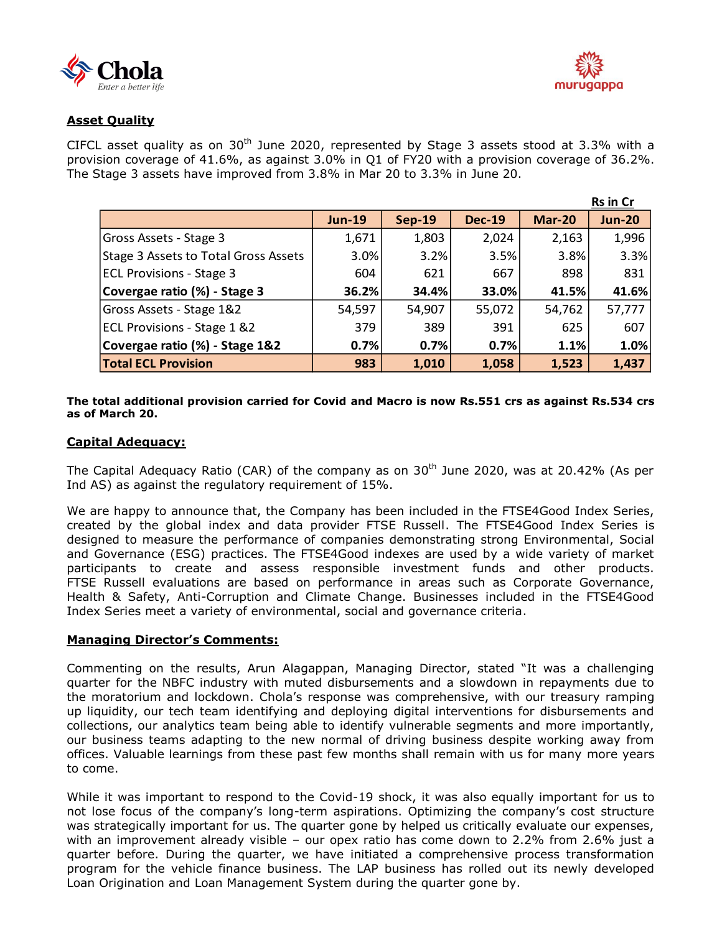



# **Asset Quality**

CIFCL asset quality as on  $30<sup>th</sup>$  June 2020, represented by Stage 3 assets stood at 3.3% with a provision coverage of 41.6%, as against 3.0% in Q1 of FY20 with a provision coverage of 36.2%. The Stage 3 assets have improved from 3.8% in Mar 20 to 3.3% in June 20.

|                                      |               |               |               |               | <b>Rs in Cr</b> |
|--------------------------------------|---------------|---------------|---------------|---------------|-----------------|
|                                      | <b>Jun-19</b> | <b>Sep-19</b> | <b>Dec-19</b> | <b>Mar-20</b> | <b>Jun-20</b>   |
| Gross Assets - Stage 3               | 1,671         | 1,803         | 2,024         | 2,163         | 1,996           |
| Stage 3 Assets to Total Gross Assets | 3.0%          | 3.2%          | 3.5%          | 3.8%          | 3.3%            |
| <b>ECL Provisions - Stage 3</b>      | 604           | 621           | 667           | 898           | 831             |
| Covergae ratio (%) - Stage 3         | 36.2%         | 34.4%         | 33.0%         | 41.5%         | 41.6%           |
| Gross Assets - Stage 1&2             | 54,597        | 54,907        | 55,072        | 54,762        | 57,777          |
| ECL Provisions - Stage 1 &2          | 379           | 389           | 391           | 625           | 607             |
| Covergae ratio (%) - Stage 1&2       | 0.7%          | 0.7%          | 0.7%          | 1.1%          | 1.0%            |
| <b>Total ECL Provision</b>           | 983           | 1,010         | 1,058         | 1,523         | 1,437           |

#### **The total additional provision carried for Covid and Macro is now Rs.551 crs as against Rs.534 crs as of March 20.**

## **Capital Adequacy:**

The Capital Adequacy Ratio (CAR) of the company as on 30<sup>th</sup> June 2020, was at 20.42% (As per Ind AS) as against the regulatory requirement of 15%.

We are happy to announce that, the Company has been included in the FTSE4Good Index Series, created by the global index and data provider FTSE Russell. The FTSE4Good Index Series is designed to measure the performance of companies demonstrating strong Environmental, Social and Governance (ESG) practices. The FTSE4Good indexes are used by a wide variety of market participants to create and assess responsible investment funds and other products. FTSE Russell evaluations are based on performance in areas such as Corporate Governance, Health & Safety, Anti-Corruption and Climate Change. Businesses included in the FTSE4Good Index Series meet a variety of environmental, social and governance criteria.

## **Managing Director's Comments:**

Commenting on the results, Arun Alagappan, Managing Director, stated "It was a challenging quarter for the NBFC industry with muted disbursements and a slowdown in repayments due to the moratorium and lockdown. Chola's response was comprehensive, with our treasury ramping up liquidity, our tech team identifying and deploying digital interventions for disbursements and collections, our analytics team being able to identify vulnerable segments and more importantly, our business teams adapting to the new normal of driving business despite working away from offices. Valuable learnings from these past few months shall remain with us for many more years to come.

While it was important to respond to the Covid-19 shock, it was also equally important for us to not lose focus of the company's long-term aspirations. Optimizing the company's cost structure was strategically important for us. The quarter gone by helped us critically evaluate our expenses, with an improvement already visible – our opex ratio has come down to 2.2% from 2.6% just a quarter before. During the quarter, we have initiated a comprehensive process transformation program for the vehicle finance business. The LAP business has rolled out its newly developed Loan Origination and Loan Management System during the quarter gone by.